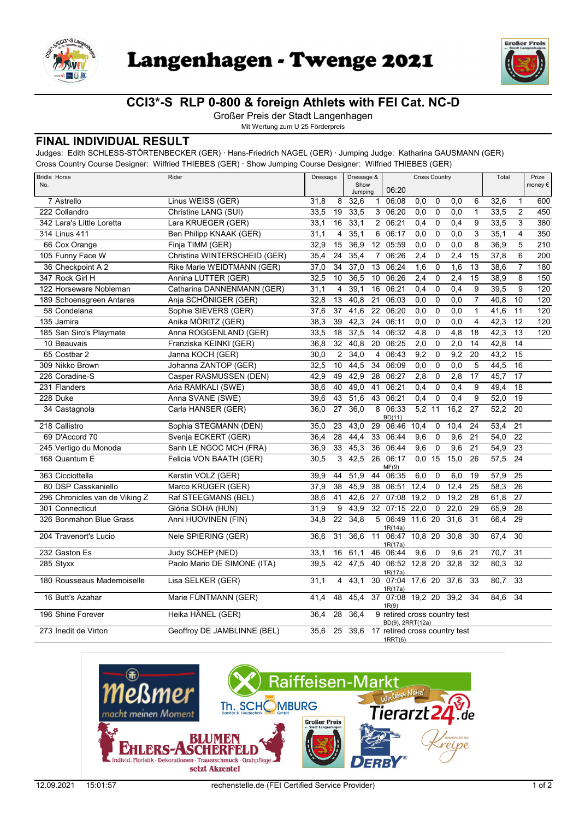



## **CCI3\*-S RLP 0-800 & foreign Athlets with FEI Cat. NC-D**

Großer Preis der Stadt Langenhagen

Mit Wertung zum U 25 Förderpreis

## **FINAL INDIVIDUAL RESULT**

Judges: Edith SCHLESS-STÖRTENBECKER (GER) · Hans-Friedrich NAGEL (GER) · Jumping Judge: Katharina GAUSMANN (GER) Cross Country Course Designer: Wilfried THIEBES (GER) · Show Jumping Course Designer: Wilfried THIEBES (GER)

| <b>Bridle Horse</b><br>No.     | Rider                        | Dressage<br>Show |                 | Dressage & |                 | <b>Cross Country</b>                             |                  |                | Total            |                 | Prize<br>money € |                 |                  |
|--------------------------------|------------------------------|------------------|-----------------|------------|-----------------|--------------------------------------------------|------------------|----------------|------------------|-----------------|------------------|-----------------|------------------|
|                                |                              |                  |                 | Jumping    |                 | 06:20                                            |                  |                |                  |                 |                  |                 |                  |
| 7 Astrello                     | Linus WEISS (GER)            | 31,8             | 8               | 32,6       | $\mathbf{1}$    | 06:08                                            | 0,0              | $\mathbf 0$    | 0,0              | 6               | 32,6             | $\mathbf{1}$    | 600              |
| 222 Collandro                  | Christine LANG (SUI)         | 33,5             | 19              | 33,5       |                 | 3 06:20                                          | 0,0              | $\overline{0}$ | 0,0              | $\mathbf{1}$    | 33,5             | $\overline{c}$  | 450              |
| 342 Lara's Little Loretta      | Lara KRUEGER (GER)           | 33,1             | 16              | 33,1       | $\overline{2}$  | 06:21                                            | 0,4              | 0              | 0,4              | 9               | 33,5             | 3               | 380              |
| 314 Linus 411                  | Ben Philipp KNAAK (GER)      | 31,1             | 4               | 35,1       | 6               | 06:17                                            | $\overline{0,0}$ | 0              | 0,0              | $\overline{3}$  | 35,1             | $\overline{4}$  | $\overline{350}$ |
| 66 Cox Orange                  | Finja TIMM (GER)             | 32,9             | 15              | 36,9       | 12 <sup>°</sup> | 05:59                                            | 0.0              | $\mathbf 0$    | 0,0              | 8               | 36,9             | 5               | 210              |
| 105 Funny Face W               | Christina WINTERSCHEID (GER) | 35.4             | 24              | 35,4       | $\overline{7}$  | 06:26                                            | 2,4              | 0              | 2,4              | 15              | 37,8             | 6               | 200              |
| 36 Checkpoint A 2              | Rike Marie WEIDTMANN (GER)   | 37,0             | 34              | 37,0       | 13              | 06:24                                            | 1,6              | 0              | $\overline{1,6}$ | 13              | 38,6             | $\overline{7}$  | 180              |
| 347 Rock Girl H                | Annina LUTTER (GER)          | 32,5             | 10              | 36,5       | 10 <sup>1</sup> | 06:26                                            | 2,4              | $\pmb{0}$      | 2,4              | 15              | 38,9             | 8               | 150              |
| 122 Horseware Nobleman         | Catharina DANNENMANN (GER)   | 31,1             | 4               | 39,1       | 16              | 06:21                                            | 0.4              | $\pmb{0}$      | 0.4              | 9               | 39,5             | 9               | 120              |
| 189 Schoensgreen Antares       | Anja SCHÖNIGER (GER)         | 32,8             | 13              | 40,8       | 21              | 06:03                                            | 0,0              | 0              | 0,0              | $\overline{7}$  | 40,8             | 10              | 120              |
| 58 Condelana                   | Sophie SIEVERS (GER)         | 37,6             | 37              | 41,6       | $\overline{22}$ | 06:20                                            | 0.0              | 0              | 0,0              | $\mathbf{1}$    | 41,6             | 11              | 120              |
| 135 Jamira                     | Anika MÖRITZ (GER)           | 38,3             | 39              | 42,3       | $\overline{24}$ | 06:11                                            | 0,0              | $\pmb{0}$      | 0,0              | $\overline{4}$  | 42,3             | $\overline{12}$ | 120              |
| 185 San Siro's Playmate        | Anna ROGGENLAND (GER)        | 33,5             | 18              | 37,5       | 14              | 06:32                                            | 4,8              | $\pmb{0}$      | $\overline{4,8}$ | 18              | 42,3             | $\overline{13}$ | 120              |
| 10 Beauvais                    | Franziska KEINKI (GER)       | 36,8             | $\overline{32}$ | 40,8       | 20              | 06:25                                            | 2,0              | 0              | 2,0              | 14              | 42,8             | 14              |                  |
| 65 Costbar 2                   | Janna KOCH (GER)             | 30,0             | $\overline{2}$  | 34,0       | 4               | 06:43                                            | 9,2              | $\mathbf 0$    | 9,2              | 20              | 43,2             | 15              |                  |
| 309 Nikko Brown                | Johanna ZANTOP (GER)         | 32.5             | 10              | 44,5       | 34              | 06:09                                            | 0.0              | 0              | 0,0              | 5               | 44,5             | 16              |                  |
| 226 Coradine-S                 | Casper RASMUSSEN (DEN)       | 42,9             | 49              | 42,9       | 28              | 06:27                                            | 2,8              | $\Omega$       | 2,8              | 17              | 45,7             | $\overline{17}$ |                  |
| 231 Flanders                   | Aria RAMKALI (SWE)           | 38,6             | 40              | 49,0       | 41              | 06:21                                            | 0,4              | $\mathbf 0$    | 0,4              | 9               | 49,4             | 18              |                  |
| 228 Duke                       | Anna SVANE (SWE)             | 39,6             | 43              | 51,6       | 43              | 06:21                                            | 0.4              | $\mathbf 0$    | 0.4              | 9               | 52,0             | $\overline{19}$ |                  |
| 34 Castagnola                  | Carla HANSER (GER)           | 36,0             | 27              | 36.0       | 8               | 06:33<br>BD(11)                                  | 5,2              | 11             | 16,2             | 27              | 52,2             | 20              |                  |
| 218 Callistro                  | Sophia STEGMANN (DEN)        | 35,0             | 23              | 43,0       | 29              | 06:46                                            | 10,4             | 0              | 10,4             | 24              | 53,4             | 21              |                  |
| 69 D'Accord 70                 | Svenja ECKERT (GER)          | 36,4             | 28              | 44,4       | 33              | 06:44                                            | 9,6              | $\mathbf 0$    | 9,6              | 21              | 54,0             | $\overline{22}$ |                  |
| 245 Vertigo du Monoda          | Sanh LE NGOC MCH (FRA)       | 36,9             | $\overline{33}$ | 45,3       | 36              | 06:44                                            | 9,6              | $\pmb{0}$      | 9,6              | $\overline{21}$ | 54,9             | $\overline{23}$ |                  |
| 168 Quantum E                  | Felicia VON BAATH (GER)      | 30,5             | 3               | 42,5       | 26              | 06:17<br>MF(9)                                   | 0,0              | 15             | 15,0             | 26              | 57,5             | 24              |                  |
| 363 Cicciottella               | Kerstin VOLZ (GER)           | 39.9             | 44              | 51.9       | 44              | 06:35                                            | 6.0              | $\Omega$       | 6.0              | 19              | 57,9             | 25              |                  |
| 80 DSP Casskaniello            | Marco KRÜGER (GER)           | 37,9             | 38              | 45,9       | 38              | 06:51                                            | 12,4             | 0              | 12,4             | 25              | 58,3             | 26              |                  |
| 296 Chronicles van de Viking Z | Raf STEEGMANS (BEL)          | 38,6             | 41              | 42,6       | 27              | 07:08                                            | 19,2             | $\mathbf 0$    | 19,2             | 28              | 61,8             | $\overline{27}$ |                  |
| 301 Connecticut                | Glória SOHA (HUN)            | 31.9             | 9               | 43,9       | 32              | $07:15$ 22,0                                     |                  | $\mathbf 0$    | 22.0             | 29              | 65.9             | 28              |                  |
| 326 Bonmahon Blue Grass        | Anni HUOVINEN (FIN)          | 34,8             | 22              | 34,8       | 5               | 06:49 11,6 20<br>1R(14a)                         |                  |                | 31,6             | 31              | 66,4             | 29              |                  |
| 204 Travenort's Lucio          | Nele SPIERING (GER)          | 36,6             | 31              | 36,6       | 11              | 06:47 10,8 20<br>1R(17a)                         |                  |                | 30,8             | 30              | 67,4             | 30              |                  |
| 232 Gaston Es                  | Judy SCHEP (NED)             | 33,1             | 16              | 61,1       |                 | 46 06:44                                         | 9,6              | 0              | 9,6              | 21              | 70,7             | 31              |                  |
| 285 Styxx                      | Paolo Mario DE SIMONE (ITA)  | 39,5             | 42              | 47,5       |                 | 40 06:52 12,8 20<br>1R(17a)                      |                  |                | 32,8             | 32              | 80,3             | $\overline{32}$ |                  |
| 180 Rousseaus Mademoiselle     | Lisa SELKER (GER)            | 31,1             | $\overline{4}$  | 43,1       |                 | 30 07:04 17,6 20<br>1R(17a)                      |                  |                | 37,6             | 33              | 80,7             | $\overline{33}$ |                  |
| 16 Butt's Azahar               | Marie FÜNTMANN (GER)         | 41,4             | 48              | 45,4       | 37              | 07:08 19,2 20<br>1R(9)                           |                  |                | 39,2             | 34              | 84,6             | 34              |                  |
| 196 Shine Forever              | Heika HÄNEL (GER)            | 36,4             | 28              | 36,4       |                 | 9 retired cross country test<br>BD(9), 2RRT(12a) |                  |                |                  |                 |                  |                 |                  |
| 273 Inedit de Virton           | Geoffroy DE JAMBLINNE (BEL)  | $35,6$ 25        |                 |            |                 | 39,6 17 retired cross country test<br>1RRT(6)    |                  |                |                  |                 |                  |                 |                  |